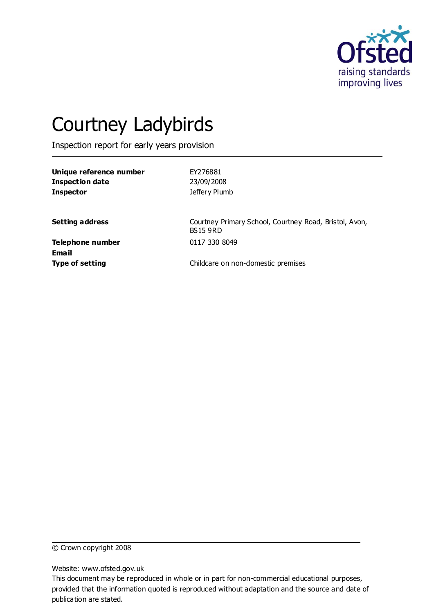

# Courtney Ladybirds

Inspection report for early years provision

| Unique reference number |
|-------------------------|
| <b>Inspection date</b>  |
| Inspector               |

**Unique reference number** EY276881 **Inspection date** 23/09/2008 **Jeffery Plumb** 

**Setting address** Courtney Primary School, Courtney Road, Bristol, Avon, BS15 9RD

**Telephone number** 0117 330 8049 **Email**

**Type of setting** Childcare on non-domestic premises

© Crown copyright 2008

Website: www.ofsted.gov.uk

This document may be reproduced in whole or in part for non-commercial educational purposes, provided that the information quoted is reproduced without adaptation and the source and date of publication are stated.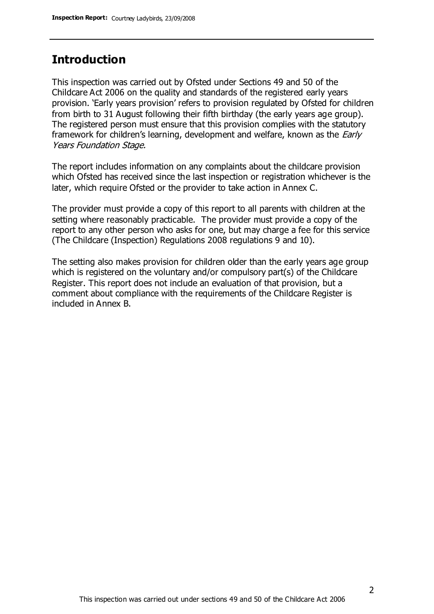### **Introduction**

This inspection was carried out by Ofsted under Sections 49 and 50 of the Childcare Act 2006 on the quality and standards of the registered early years provision. 'Early years provision' refers to provision regulated by Ofsted for children from birth to 31 August following their fifth birthday (the early years age group). The registered person must ensure that this provision complies with the statutory framework for children's learning, development and welfare, known as the *Early* Years Foundation Stage.

The report includes information on any complaints about the childcare provision which Ofsted has received since the last inspection or registration whichever is the later, which require Ofsted or the provider to take action in Annex C.

The provider must provide a copy of this report to all parents with children at the setting where reasonably practicable. The provider must provide a copy of the report to any other person who asks for one, but may charge a fee for this service (The Childcare (Inspection) Regulations 2008 regulations 9 and 10).

The setting also makes provision for children older than the early years age group which is registered on the voluntary and/or compulsory part(s) of the Childcare Register. This report does not include an evaluation of that provision, but a comment about compliance with the requirements of the Childcare Register is included in Annex B.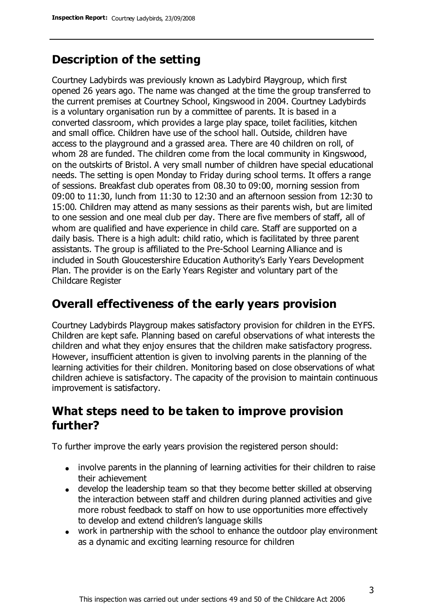# **Description of the setting**

Courtney Ladybirds was previously known as Ladybird Playgroup, which first opened 26 years ago. The name was changed at the time the group transferred to the current premises at Courtney School, Kingswood in 2004. Courtney Ladybirds is a voluntary organisation run by a committee of parents. It is based in a converted classroom, which provides a large play space, toilet facilities, kitchen and small office. Children have use of the school hall. Outside, children have access to the playground and a grassed area. There are 40 children on roll, of whom 28 are funded. The children come from the local community in Kingswood, on the outskirts of Bristol. A very small number of children have special educational needs. The setting is open Monday to Friday during school terms. It offers a range of sessions. Breakfast club operates from 08.30 to 09:00, morning session from 09:00 to 11:30, lunch from 11:30 to 12:30 and an afternoon session from 12:30 to 15:00. Children may attend as many sessions as their parents wish, but are limited to one session and one meal club per day. There are five members of staff, all of whom are qualified and have experience in child care. Staff are supported on a daily basis. There is a high adult: child ratio, which is facilitated by three parent assistants. The group is affiliated to the Pre-School Learning Alliance and is included in South Gloucestershire Education Authority's Early Years Development Plan. The provider is on the Early Years Register and voluntary part of the Childcare Register

### **Overall effectiveness of the early years provision**

Courtney Ladybirds Playgroup makes satisfactory provision for children in the EYFS. Children are kept safe. Planning based on careful observations of what interests the children and what they enjoy ensures that the children make satisfactory progress. However, insufficient attention is given to involving parents in the planning of the learning activities for their children. Monitoring based on close observations of what children achieve is satisfactory. The capacity of the provision to maintain continuous improvement is satisfactory.

### **What steps need to be taken to improve provision further?**

To further improve the early years provision the registered person should:

- involve parents in the planning of learning activities for their children to raise their achievement
- develop the leadership team so that they become better skilled at observing the interaction between staff and children during planned activities and give more robust feedback to staff on how to use opportunities more effectively to develop and extend children's language skills
- work in partnership with the school to enhance the outdoor play environment as a dynamic and exciting learning resource for children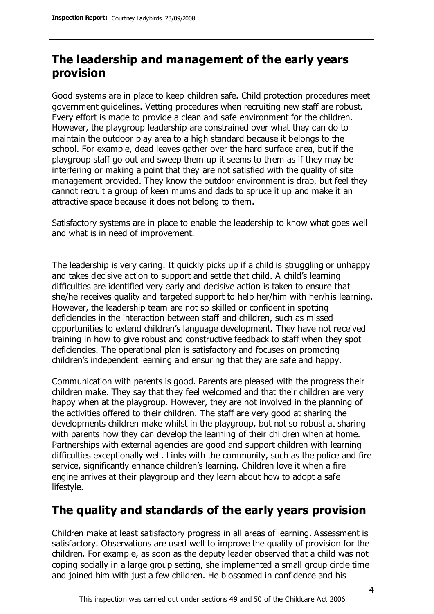# **The leadership and management of the early years provision**

Good systems are in place to keep children safe. Child protection procedures meet government guidelines. Vetting procedures when recruiting new staff are robust. Every effort is made to provide a clean and safe environment for the children. However, the playgroup leadership are constrained over what they can do to maintain the outdoor play area to a high standard because it belongs to the school. For example, dead leaves gather over the hard surface area, but if the playgroup staff go out and sweep them up it seems to them as if they may be interfering or making a point that they are not satisfied with the quality of site management provided. They know the outdoor environment is drab, but feel they cannot recruit a group of keen mums and dads to spruce it up and make it an attractive space because it does not belong to them.

Satisfactory systems are in place to enable the leadership to know what goes well and what is in need of improvement.

The leadership is very caring. It quickly picks up if a child is struggling or unhappy and takes decisive action to support and settle that child. A child's learning difficulties are identified very early and decisive action is taken to ensure that she/he receives quality and targeted support to help her/him with her/his learning. However, the leadership team are not so skilled or confident in spotting deficiencies in the interaction between staff and children, such as missed opportunities to extend children's language development. They have not received training in how to give robust and constructive feedback to staff when they spot deficiencies. The operational plan is satisfactory and focuses on promoting children's independent learning and ensuring that they are safe and happy.

Communication with parents is good. Parents are pleased with the progress their children make. They say that they feel welcomed and that their children are very happy when at the playgroup. However, they are not involved in the planning of the activities offered to their children. The staff are very good at sharing the developments children make whilst in the playgroup, but not so robust at sharing with parents how they can develop the learning of their children when at home. Partnerships with external agencies are good and support children with learning difficulties exceptionally well. Links with the community, such as the police and fire service, significantly enhance children's learning. Children love it when a fire engine arrives at their playgroup and they learn about how to adopt a safe lifestyle.

# **The quality and standards of the early years provision**

Children make at least satisfactory progress in all areas of learning. Assessment is satisfactory. Observations are used well to improve the quality of provision for the children. For example, as soon as the deputy leader observed that a child was not coping socially in a large group setting, she implemented a small group circle time and joined him with just a few children. He blossomed in confidence and his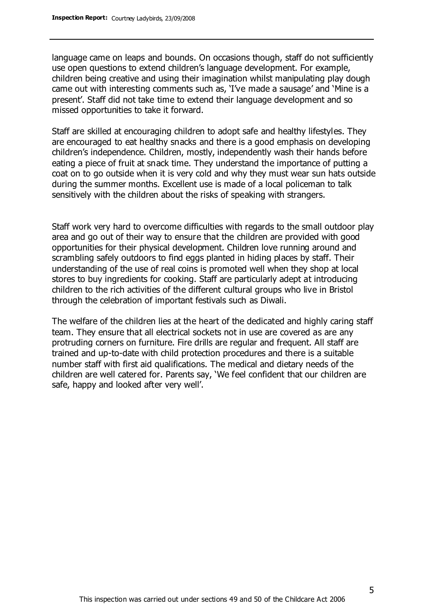language came on leaps and bounds. On occasions though, staff do not sufficiently use open questions to extend children's language development. For example, children being creative and using their imagination whilst manipulating play dough came out with interesting comments such as, 'I've made a sausage' and 'Mine is a present'. Staff did not take time to extend their language development and so missed opportunities to take it forward.

Staff are skilled at encouraging children to adopt safe and healthy lifestyles. They are encouraged to eat healthy snacks and there is a good emphasis on developing children's independence. Children, mostly, independently wash their hands before eating a piece of fruit at snack time. They understand the importance of putting a coat on to go outside when it is very cold and why they must wear sun hats outside during the summer months. Excellent use is made of a local policeman to talk sensitively with the children about the risks of speaking with strangers.

Staff work very hard to overcome difficulties with regards to the small outdoor play area and go out of their way to ensure that the children are provided with good opportunities for their physical development. Children love running around and scrambling safely outdoors to find eggs planted in hiding places by staff. Their understanding of the use of real coins is promoted well when they shop at local stores to buy ingredients for cooking. Staff are particularly adept at introducing children to the rich activities of the different cultural groups who live in Bristol through the celebration of important festivals such as Diwali.

The welfare of the children lies at the heart of the dedicated and highly caring staff team. They ensure that all electrical sockets not in use are covered as are any protruding corners on furniture. Fire drills are regular and frequent. All staff are trained and up-to-date with child protection procedures and there is a suitable number staff with first aid qualifications. The medical and dietary needs of the children are well catered for. Parents say, 'We feel confident that our children are safe, happy and looked after very well'.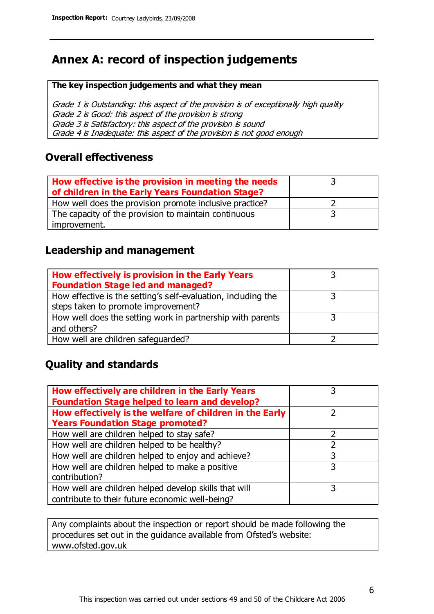### **Annex A: record of inspection judgements**

#### **The key inspection judgements and what they mean**

Grade 1 is Outstanding: this aspect of the provision is of exceptionally high quality Grade 2 is Good: this aspect of the provision is strong Grade 3 is Satisfactory: this aspect of the provision is sound Grade 4 is Inadequate: this aspect of the provision is not good enough

### **Overall effectiveness**

| How effective is the provision in meeting the needs<br>of children in the Early Years Foundation Stage? |  |
|---------------------------------------------------------------------------------------------------------|--|
| How well does the provision promote inclusive practice?                                                 |  |
| The capacity of the provision to maintain continuous                                                    |  |
| improvement.                                                                                            |  |

### **Leadership and management**

| How effectively is provision in the Early Years               |  |
|---------------------------------------------------------------|--|
| <b>Foundation Stage led and managed?</b>                      |  |
| How effective is the setting's self-evaluation, including the |  |
| steps taken to promote improvement?                           |  |
| How well does the setting work in partnership with parents    |  |
| and others?                                                   |  |
| How well are children safeguarded?                            |  |

### **Quality and standards**

| How effectively are children in the Early Years         |   |
|---------------------------------------------------------|---|
| <b>Foundation Stage helped to learn and develop?</b>    |   |
| How effectively is the welfare of children in the Early |   |
| <b>Years Foundation Stage promoted?</b>                 |   |
| How well are children helped to stay safe?              |   |
| How well are children helped to be healthy?             |   |
| How well are children helped to enjoy and achieve?      | 3 |
| How well are children helped to make a positive         | 3 |
| contribution?                                           |   |
| How well are children helped develop skills that will   | 3 |
| contribute to their future economic well-being?         |   |

Any complaints about the inspection or report should be made following the procedures set out in the guidance available from Ofsted's website: www.ofsted.gov.uk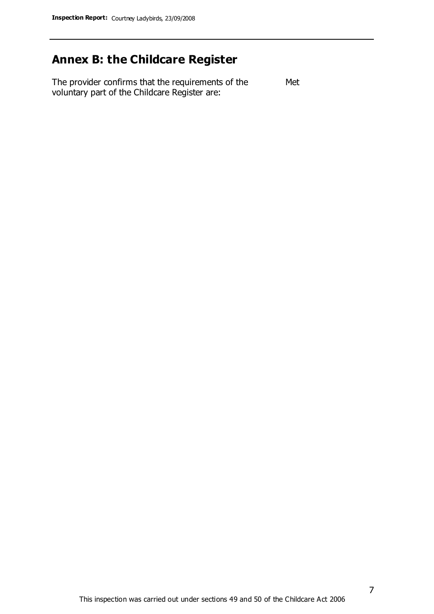### **Annex B: the Childcare Register**

The provider confirms that the requirements of the voluntary part of the Childcare Register are: Met